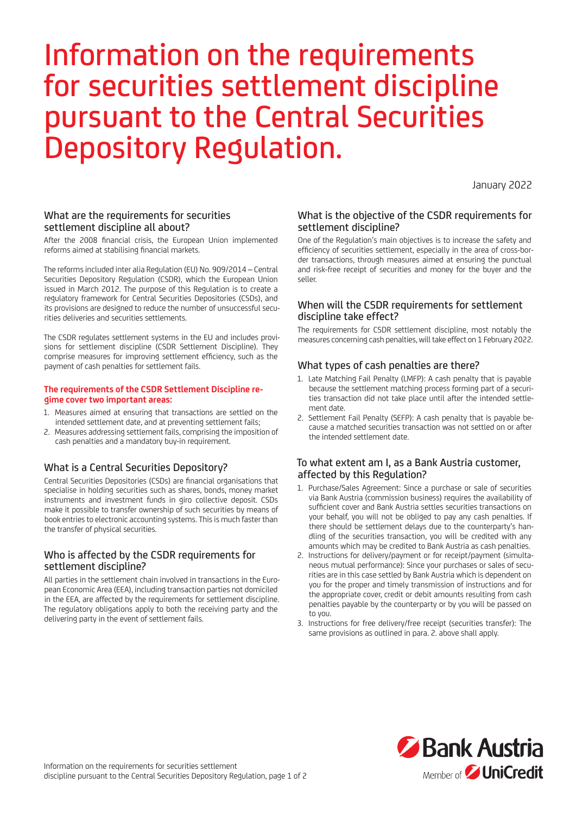# Information on the requirements for securities settlement discipline pursuant to the Central Securities Depository Regulation.

January 2022

## What are the requirements for securities settlement discipline all about?

After the 2008 financial crisis, the European Union implemented reforms aimed at stabilising financial markets.

The reforms included inter alia Regulation (EU) No. 909/2014 – Central Securities Depository Regulation (CSDR), which the European Union issued in March 2012. The purpose of this Regulation is to create a regulatory framework for Central Securities Depositories (CSDs), and its provisions are designed to reduce the number of unsuccessful securities deliveries and securities settlements.

The CSDR regulates settlement systems in the EU and includes provisions for settlement discipline (CSDR Settlement Discipline). They comprise measures for improving settlement efficiency, such as the payment of cash penalties for settlement fails.

#### **The requirements of the CSDR Settlement Discipline regime cover two important areas:**

- 1. Measures aimed at ensuring that transactions are settled on the intended settlement date, and at preventing settlement fails;
- 2. Measures addressing settlement fails, comprising the imposition of cash penalties and a mandatory buy-in requirement.

## What is a Central Securities Depository?

Central Securities Depositories (CSDs) are financial organisations that specialise in holding securities such as shares, bonds, money market instruments and investment funds in giro collective deposit. CSDs make it possible to transfer ownership of such securities by means of book entries to electronic accounting systems. This is much faster than the transfer of physical securities.

## Who is affected by the CSDR requirements for settlement discipline?

All parties in the settlement chain involved in transactions in the European Economic Area (EEA), including transaction parties not domiciled in the EEA, are affected by the requirements for settlement discipline. The regulatory obligations apply to both the receiving party and the delivering party in the event of settlement fails.

#### What is the objective of the CSDR requirements for settlement discipline?

One of the Regulation's main objectives is to increase the safety and efficiency of securities settlement, especially in the area of cross-border transactions, through measures aimed at ensuring the punctual and risk-free receipt of securities and money for the buyer and the seller.

#### When will the CSDR requirements for settlement discipline take effect?

The requirements for CSDR settlement discipline, most notably the measures concerning cash penalties, will take effect on 1 February 2022.

### What types of cash penalties are there?

- 1. Late Matching Fail Penalty (LMFP): A cash penalty that is payable because the settlement matching process forming part of a securities transaction did not take place until after the intended settlement date.
- 2. Settlement Fail Penalty (SEFP): A cash penalty that is payable because a matched securities transaction was not settled on or after the intended settlement date.

#### To what extent am I, as a Bank Austria customer, affected by this Regulation?

- 1. Purchase/Sales Agreement: Since a purchase or sale of securities via Bank Austria (commission business) requires the availability of sufficient cover and Bank Austria settles securities transactions on your behalf, you will not be obliged to pay any cash penalties. If there should be settlement delays due to the counterparty's handling of the securities transaction, you will be credited with any amounts which may be credited to Bank Austria as cash penalties.
- 2. Instructions for delivery/payment or for receipt/payment (simultaneous mutual performance): Since your purchases or sales of securities are in this case settled by Bank Austria which is dependent on you for the proper and timely transmission of instructions and for the appropriate cover, credit or debit amounts resulting from cash penalties payable by the counterparty or by you will be passed on to you.
- 3. Instructions for free delivery/free receipt (securities transfer): The same provisions as outlined in para. 2. above shall apply.